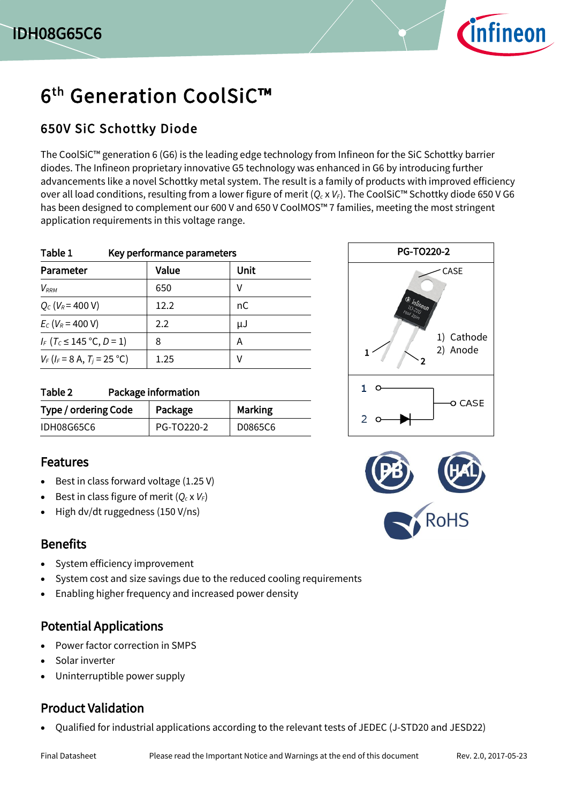

# 6<sup>th</sup> Generation CoolSiC™

#### 650V SiC Schottky Diode

The CoolSiC™ generation 6 (G6) is the leading edge technology from Infineon for the SiC Schottky barrier diodes. The Infineon proprietary innovative G5 technology was enhanced in G6 by introducing further advancements like a novel Schottky metal system. The result is a family of products with improved efficiency over all load conditions, resulting from a lower figure of merit (*Q<sup>c</sup>* x *VF*). The CoolSiC™ Schottky diode 650 V G6 has been designed to complement our 600 V and 650 V CoolMOS™ 7 families, meeting the most stringent application requirements in this voltage range.

| Table 1<br>Key performance parameters       |                   |      |  |  |  |
|---------------------------------------------|-------------------|------|--|--|--|
| Parameter                                   | Value             | Unit |  |  |  |
| $V_{RRM}$                                   | 650               | V    |  |  |  |
| $Q_c$ ( $V_R$ = 400 V)                      | 12.2 <sub>2</sub> | nC   |  |  |  |
| $E_c$ (V <sub>R</sub> = 400 V)              | 2.2               | μJ   |  |  |  |
| $I_F$ (T <sub>C</sub> $\leq$ 145 °C, D = 1) | 8                 | Α    |  |  |  |
| $V_F$ ( $I_F$ = 8 A, $T_i$ = 25 °C)         | 1.25              | V    |  |  |  |

| Package information<br>Table 2 |            |                |  |  |  |  |
|--------------------------------|------------|----------------|--|--|--|--|
| Type / ordering Code           | Package    | <b>Marking</b> |  |  |  |  |
| <b>IDH08G65C6</b>              | PG-TO220-2 | D0865C6        |  |  |  |  |

#### Features

- Best in class forward voltage (1.25 V)
- Best in class figure of merit  $(Q_c \times V_F)$
- High dv/dt ruggedness (150 V/ns)

#### **Benefits**

- System efficiency improvement
- System cost and size savings due to the reduced cooling requirements
- Enabling higher frequency and increased power density

#### Potential Applications

- Power factor correction in SMPS
- Solar inverter
- Uninterruptible power supply

#### Product Validation

Qualified for industrial applications according to the relevant tests of JEDEC (J-STD20 and JESD22)



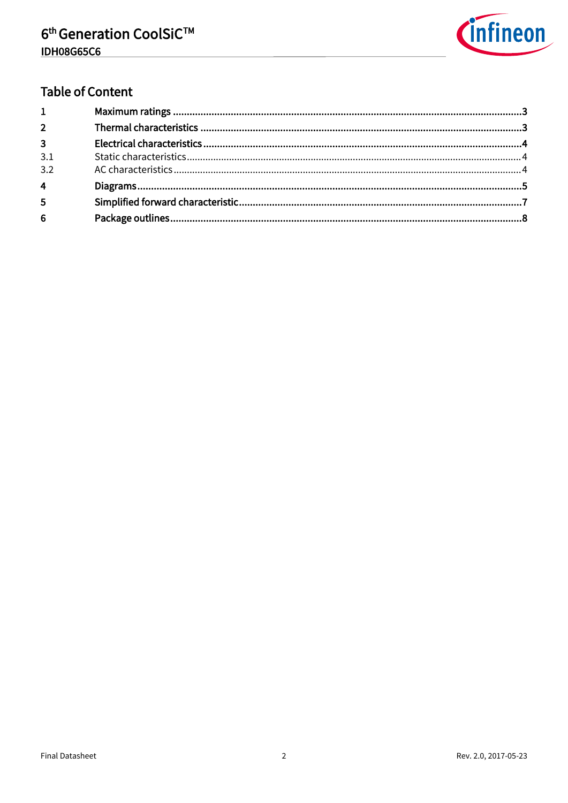

## **Table of Content**

| $1 \quad \blacksquare$ |  |
|------------------------|--|
| $2^{\circ}$            |  |
| $3^{\circ}$            |  |
| 3.1                    |  |
| 3.2                    |  |
| $\overline{4}$         |  |
| 5                      |  |
| $6\overline{6}$        |  |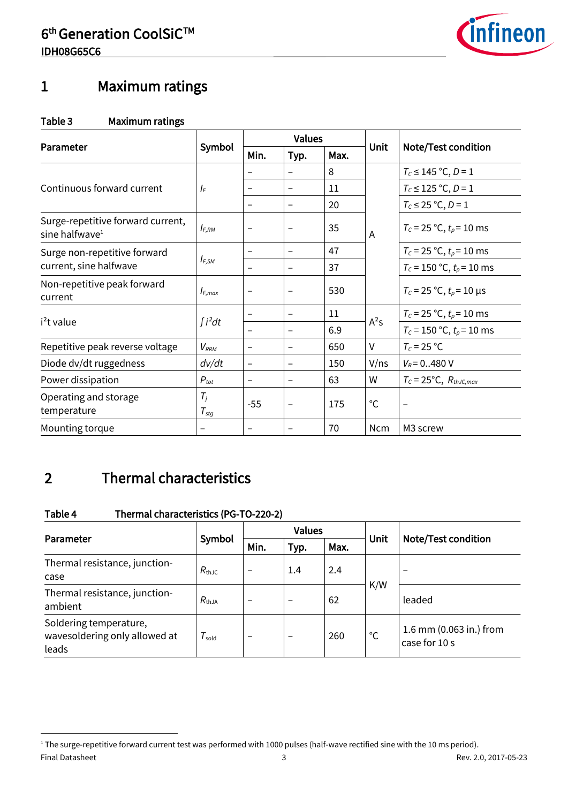

# <span id="page-2-0"></span>1 Maximum ratings

#### Table 3 Maximum ratings

|                                                                 | Symbol                    | <b>Values</b>            |                          |      |              |                                  |
|-----------------------------------------------------------------|---------------------------|--------------------------|--------------------------|------|--------------|----------------------------------|
| Parameter                                                       |                           | Min.                     | Typ.                     | Max. | <b>Unit</b>  | <b>Note/Test condition</b>       |
|                                                                 |                           |                          |                          | 8    |              | $T_c \le 145$ °C, D = 1          |
| Continuous forward current                                      | $I_F$                     |                          |                          | 11   |              | $T_c \le 125$ °C, D = 1          |
|                                                                 |                           | $\qquad \qquad -$        |                          | 20   |              | $T_c \le 25$ °C, D = 1           |
| Surge-repetitive forward current,<br>sine halfwave <sup>1</sup> | $I_{F,RM}$                | $\overline{\phantom{0}}$ |                          | 35   | A            | $T_c = 25 °C$ , $t_p = 10$ ms    |
| Surge non-repetitive forward                                    |                           | $\overline{\phantom{0}}$ |                          | 47   |              | $T_c$ = 25 °C, $t_p$ = 10 ms     |
| current, sine halfwave                                          | $I_{F,SM}$                | -                        |                          | 37   |              | $T_c$ = 150 °C, $t_p$ = 10 ms    |
| Non-repetitive peak forward<br>current                          | $I_{F,max}$               | -                        |                          | 530  |              | $T_c = 25 °C$ , $t_p = 10 \mu s$ |
|                                                                 | $\int i^2 dt$             | $\overline{\phantom{0}}$ | $\overline{\phantom{0}}$ | 11   | $A^2S$       | $T_c$ = 25 °C, $t_p$ = 10 ms     |
| i <sup>2</sup> t value                                          |                           |                          |                          | 6.9  |              | $T_c$ = 150 °C, $t_p$ = 10 ms    |
| Repetitive peak reverse voltage                                 | $V_{RRM}$                 | $\overline{\phantom{0}}$ |                          | 650  | V            | $T_c = 25 °C$                    |
| Diode dv/dt ruggedness                                          | dv/dt                     | -                        |                          | 150  | V/ns         | $V_R$ = 0480 V                   |
| Power dissipation                                               | $P_{tot}$                 | -                        |                          | 63   | W            | $T_c = 25$ °C, $R_{th,IC,max}$   |
| Operating and storage<br>temperature                            | $T_i$<br>$T_{\text{stg}}$ | $-55$                    |                          | 175  | $^{\circ}$ C |                                  |
| Mounting torque                                                 |                           |                          |                          | 70   | <b>Ncm</b>   | M3 screw                         |

# <span id="page-2-1"></span>2 Thermal characteristics

 $\overline{a}$ 

#### Table 4 Thermal characteristics (PG-TO-220-2)

|                                                                  |                       |      | <b>Values</b>            |      | Unit |                                          |
|------------------------------------------------------------------|-----------------------|------|--------------------------|------|------|------------------------------------------|
| Parameter                                                        | Symbol                | Min. | Typ.                     | Max. |      | Note/Test condition                      |
| Thermal resistance, junction-<br>case                            | $R_{\text{th,IC}}$    |      | 1.4                      | 2.4  |      |                                          |
| Thermal resistance, junction-<br>ambient                         | $R_{\text{thJA}}$     |      | $\overline{\phantom{0}}$ | 62   | K/W  | leaded                                   |
| Soldering temperature,<br>wavesoldering only allowed at<br>leads | ${\cal T}_{\sf sold}$ |      | -                        | 260  | °C   | 1.6 mm (0.063 in.) from<br>case for 10 s |

Final Datasheet 3 Rev. 2.0, 2017-05-23 <sup>1</sup> The surge-repetitive forward current test was performed with 1000 pulses (half-wave rectified sine with the 10 ms period).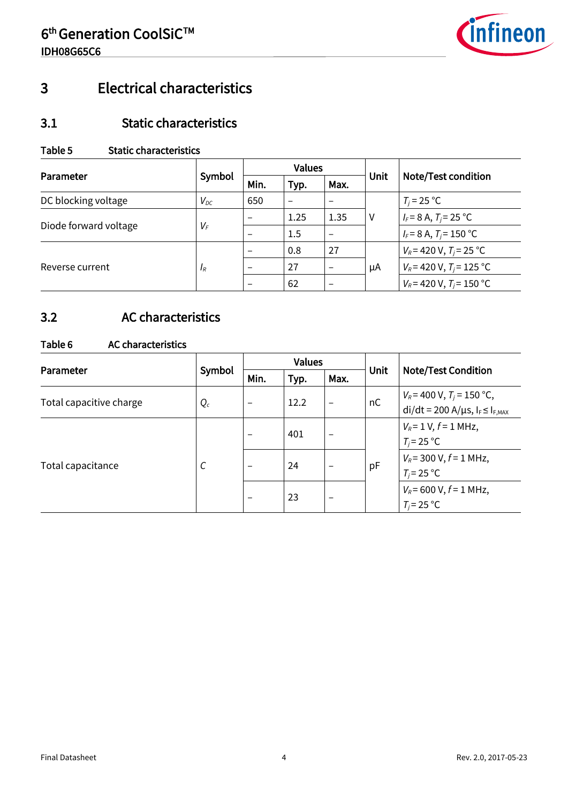

# <span id="page-3-0"></span>3 Electrical characteristics

#### <span id="page-3-1"></span>3.1 Static characteristics

#### Table 5 Static characteristics

| Parameter             | Symbol   |                          | <b>Values</b> |      | Unit | <b>Note/Test condition</b>    |
|-----------------------|----------|--------------------------|---------------|------|------|-------------------------------|
|                       |          | Min.                     | Typ.          | Max. |      |                               |
| DC blocking voltage   | $V_{DC}$ | 650                      |               |      |      | $T_i = 25 °C$                 |
| Diode forward voltage | $V_F$    | $\overline{\phantom{0}}$ | 1.25          | 1.35 | V    | $I_F = 8$ A, $T_i = 25$ °C    |
|                       |          |                          | 1.5           |      |      | $I_F$ = 8 A, $T_i$ = 150 °C   |
| Reverse current       | $I_R$    | $\overline{\phantom{0}}$ | 0.8           | 27   | μA   | $V_R$ = 420 V, $T_i$ = 25 °C  |
|                       |          |                          | 27            |      |      | $V_R$ = 420 V, $T_i$ = 125 °C |
|                       |          | $\overline{\phantom{0}}$ | 62            |      |      | $V_R$ = 420 V, $T_i$ = 150 °C |

### <span id="page-3-2"></span>3.2 AC characteristics

#### Table 6 AC characteristics

| Parameter               | Symbol | <b>Values</b>            |      |                          |             |                                                                                      |
|-------------------------|--------|--------------------------|------|--------------------------|-------------|--------------------------------------------------------------------------------------|
|                         |        | Min.                     | Typ. | Max.                     | <b>Unit</b> | <b>Note/Test Condition</b>                                                           |
| Total capacitive charge | $Q_c$  | $\overline{\phantom{m}}$ | 12.2 | $\overline{\phantom{0}}$ | nC          | $V_R$ = 400 V, T <sub>j</sub> = 150 °C,<br>$di/dt = 200 A/\mu s, I_F \leq I_{F,MAX}$ |
| Total capacitance       | C      |                          | 401  |                          | pF          | $V_R$ = 1 V, $f$ = 1 MHz,<br>$T_i = 25 °C$                                           |
|                         |        |                          | 24   |                          |             | $V_R$ = 300 V, $f$ = 1 MHz,<br>$T_i = 25 °C$                                         |
|                         |        | $\overline{\phantom{m}}$ | 23   |                          |             | $V_R$ = 600 V, $f$ = 1 MHz,<br>$T_i = 25 °C$                                         |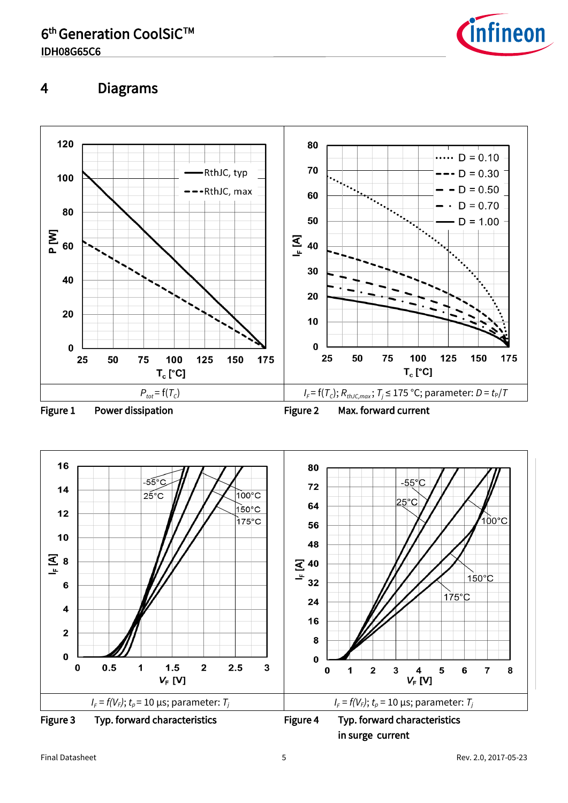

## <span id="page-4-0"></span>4 Diagrams





in surge current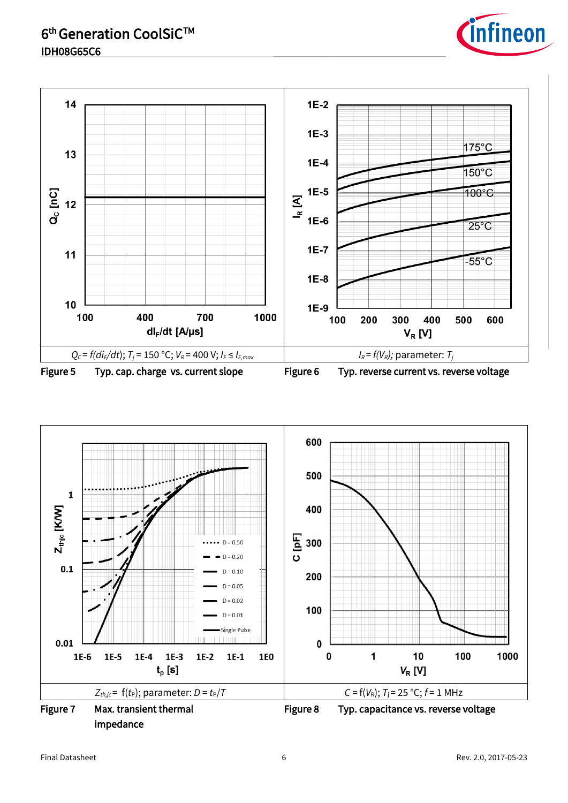

Figure 5 Typ. cap. charge vs. current slope Figure 6 Typ. reverse current vs. reverse voltage



*infineon*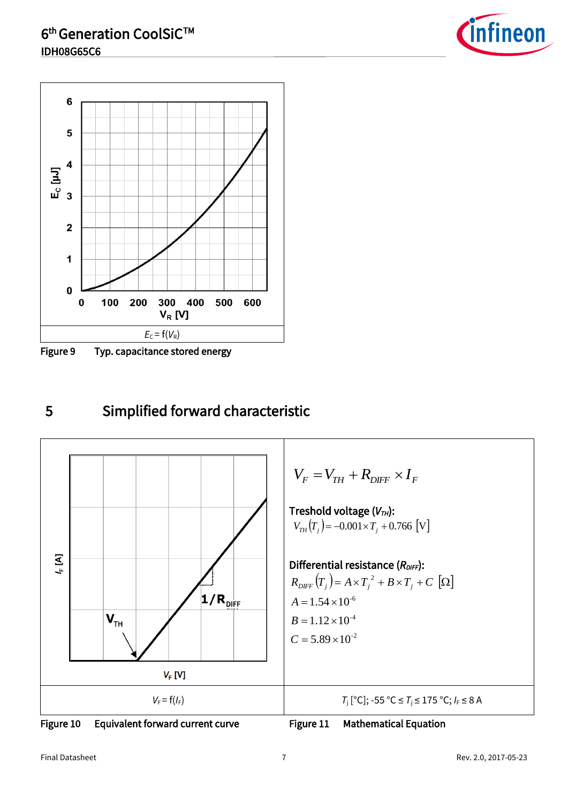



Figure 9 Typ. capacitance stored energy

# <span id="page-6-0"></span>5 Simplified forward characteristic



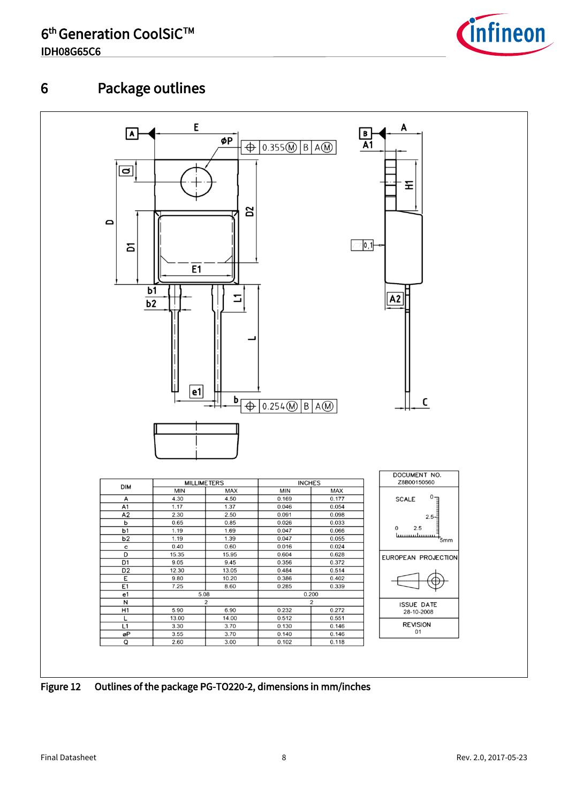

# <span id="page-7-0"></span>6 Package outlines



Figure 12 Outlines of the package PG-TO220-2, dimensions in mm/inches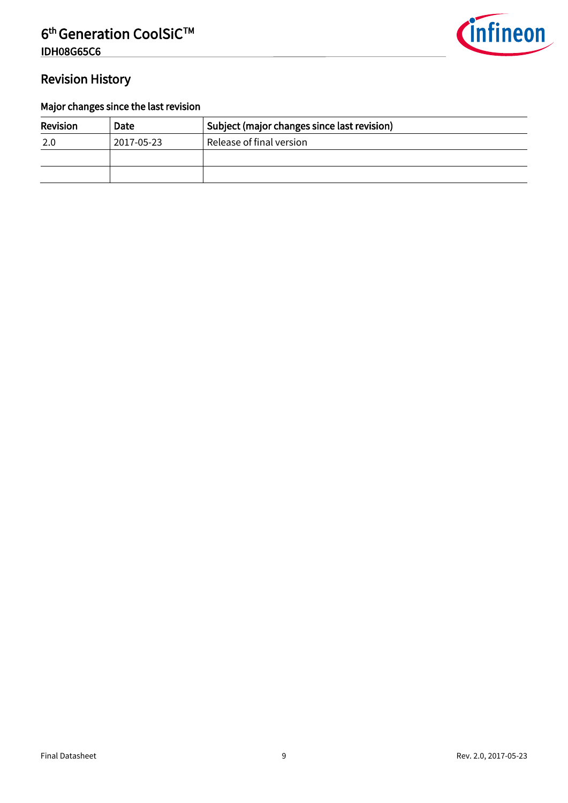

#### Revision History

#### Major changes since the last revision

| <b>Revision</b> | Date       | Subject (major changes since last revision) |
|-----------------|------------|---------------------------------------------|
| 2.0             | 2017-05-23 | Release of final version                    |
|                 |            |                                             |
|                 |            |                                             |